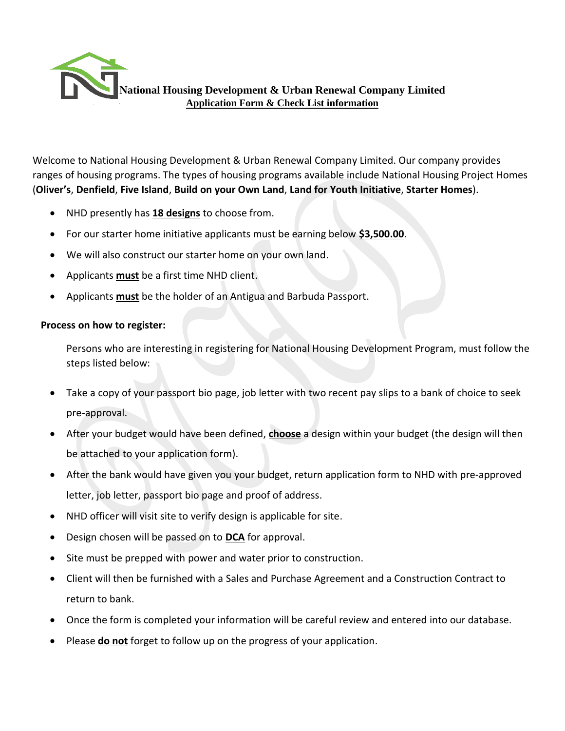

Welcome to National Housing Development & Urban Renewal Company Limited. Our company provides ranges of housing programs. The types of housing programs available include National Housing Project Homes (**Oliver's**, **Denfield**, **Five Island**, **Build on your Own Land**, **Land for Youth Initiative**, **Starter Homes**).

- NHD presently has **18 designs** to choose from.
- For our starter home initiative applicants must be earning below **\$3,500.00**.
- We will also construct our starter home on your own land.
- Applicants **must** be a first time NHD client.
- Applicants **must** be the holder of an Antigua and Barbuda Passport.

## **Process on how to register:**

Persons who are interesting in registering for National Housing Development Program, must follow the steps listed below:

- Take a copy of your passport bio page, job letter with two recent pay slips to a bank of choice to seek pre-approval.
- After your budget would have been defined, **choose** a design within your budget (the design will then be attached to your application form).
- After the bank would have given you your budget, return application form to NHD with pre-approved letter, job letter, passport bio page and proof of address.
- NHD officer will visit site to verify design is applicable for site.
- Design chosen will be passed on to **DCA** for approval.
- Site must be prepped with power and water prior to construction.
- Client will then be furnished with a Sales and Purchase Agreement and a Construction Contract to return to bank.
- Once the form is completed your information will be careful review and entered into our database.
- Please **do not** forget to follow up on the progress of your application.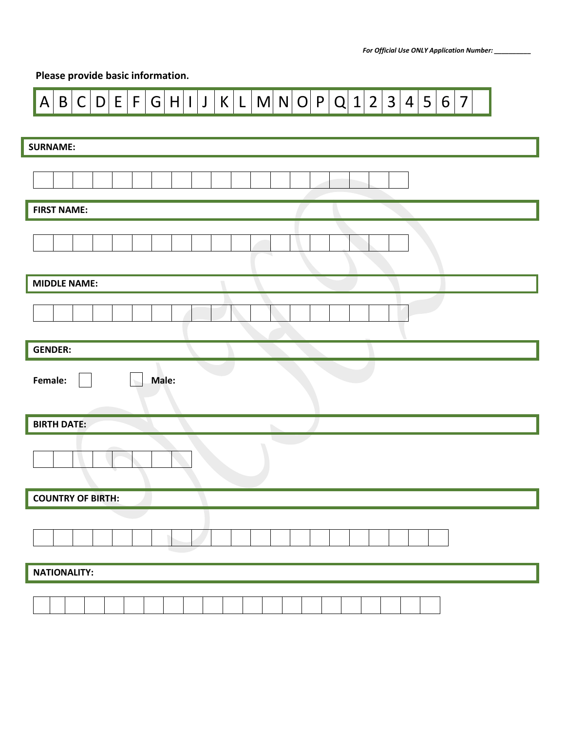## **Please provide basic information.**

| $\vert$ D $\vert$ E $\vert$ F $\vert$ G $\vert$ H $\vert$ I $\vert$ J $\vert$ K $\vert$ L $\vert$ M $\vert$ N $\vert$ O $\vert$ P $\vert$ Q $\vert$ 1 $\vert$ 2 $\vert$ 3 $\vert$ 4 $\vert$ 5 $\vert$ 6 $\vert$<br>A B C <br>$\overline{7}$ |
|---------------------------------------------------------------------------------------------------------------------------------------------------------------------------------------------------------------------------------------------|
| <b>SURNAME:</b>                                                                                                                                                                                                                             |
|                                                                                                                                                                                                                                             |
|                                                                                                                                                                                                                                             |
| <b>FIRST NAME:</b>                                                                                                                                                                                                                          |
|                                                                                                                                                                                                                                             |
| <b>MIDDLE NAME:</b>                                                                                                                                                                                                                         |
|                                                                                                                                                                                                                                             |
| <b>GENDER:</b>                                                                                                                                                                                                                              |
| Female:<br>Male:                                                                                                                                                                                                                            |
| <b>BIRTH DATE:</b><br>b.                                                                                                                                                                                                                    |
|                                                                                                                                                                                                                                             |
| COUNTRY OF BIRTH:                                                                                                                                                                                                                           |
|                                                                                                                                                                                                                                             |
| NATIONALITY:                                                                                                                                                                                                                                |
|                                                                                                                                                                                                                                             |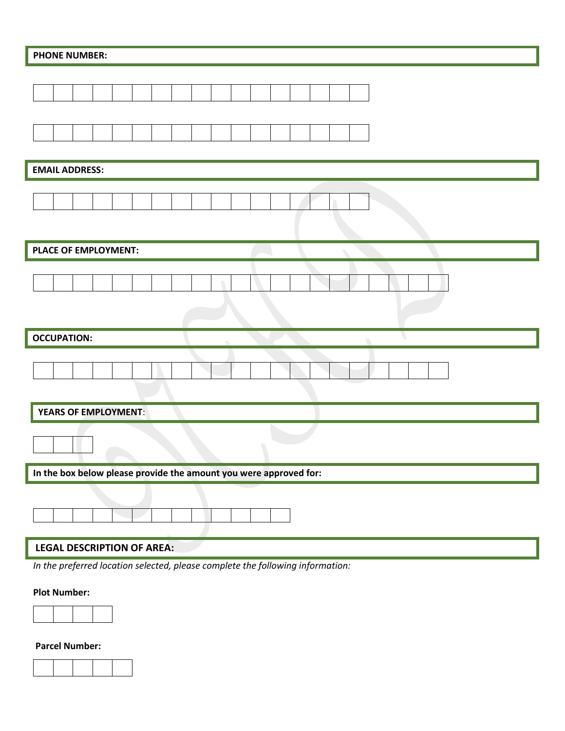| <b>PHONE NUMBER:</b>                                              |  |  |  |  |  |  |  |  |
|-------------------------------------------------------------------|--|--|--|--|--|--|--|--|
|                                                                   |  |  |  |  |  |  |  |  |
|                                                                   |  |  |  |  |  |  |  |  |
| <b>EMAIL ADDRESS:</b>                                             |  |  |  |  |  |  |  |  |
|                                                                   |  |  |  |  |  |  |  |  |
| PLACE OF EMPLOYMENT:                                              |  |  |  |  |  |  |  |  |
|                                                                   |  |  |  |  |  |  |  |  |
| <b>OCCUPATION:</b>                                                |  |  |  |  |  |  |  |  |
|                                                                   |  |  |  |  |  |  |  |  |
| <b>YEARS OF EMPLOYMENT:</b>                                       |  |  |  |  |  |  |  |  |
|                                                                   |  |  |  |  |  |  |  |  |
| In the box below please provide the amount you were approved for: |  |  |  |  |  |  |  |  |
|                                                                   |  |  |  |  |  |  |  |  |
| <b>LEGAL DESCRIPTION OF AREA:</b>                                 |  |  |  |  |  |  |  |  |

*In the preferred location selected, please complete the following information:*

## **Plot Number:**



**Parcel Number:**